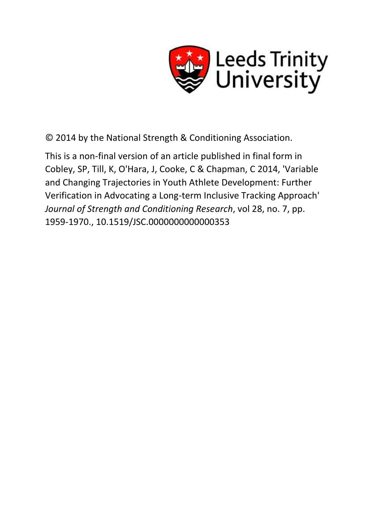

© 2014 by the National Strength & Conditioning Association.

This is a non-final version of an article published in final form in Cobley, SP, Till, K, O'Hara, J, Cooke, C & Chapman, C 2014, 'Variable and Changing Trajectories in Youth Athlete Development: Further Verification in Advocating a Long-term Inclusive Tracking Approach' *Journal of Strength and Conditioning Research*, vol 28, no. 7, pp. 1959-1970., 10.1519/JSC.0000000000000353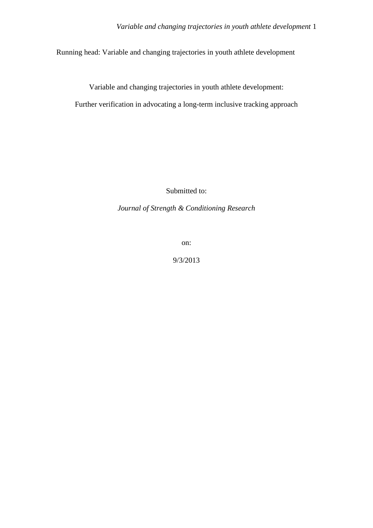Running head: Variable and changing trajectories in youth athlete development

Variable and changing trajectories in youth athlete development:

Further verification in advocating a long-term inclusive tracking approach

Submitted to:

*Journal of Strength & Conditioning Research*

on:

9/3/2013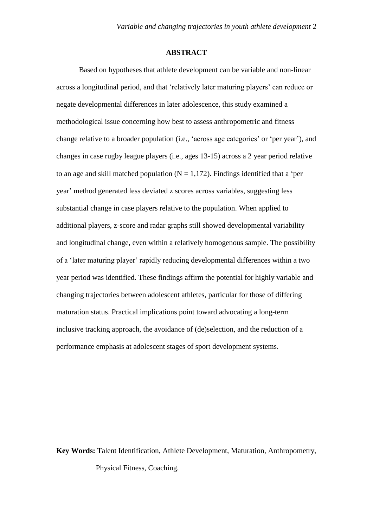## **ABSTRACT**

Based on hypotheses that athlete development can be variable and non-linear across a longitudinal period, and that 'relatively later maturing players' can reduce or negate developmental differences in later adolescence, this study examined a methodological issue concerning how best to assess anthropometric and fitness change relative to a broader population (i.e., 'across age categories' or 'per year'), and changes in case rugby league players (i.e., ages 13-15) across a 2 year period relative to an age and skill matched population  $(N = 1,172)$ . Findings identified that a 'per year' method generated less deviated z scores across variables, suggesting less substantial change in case players relative to the population. When applied to additional players, z-score and radar graphs still showed developmental variability and longitudinal change, even within a relatively homogenous sample. The possibility of a 'later maturing player' rapidly reducing developmental differences within a two year period was identified. These findings affirm the potential for highly variable and changing trajectories between adolescent athletes, particular for those of differing maturation status. Practical implications point toward advocating a long-term inclusive tracking approach, the avoidance of (de)selection, and the reduction of a performance emphasis at adolescent stages of sport development systems.

**Key Words:** Talent Identification, Athlete Development, Maturation, Anthropometry, Physical Fitness, Coaching.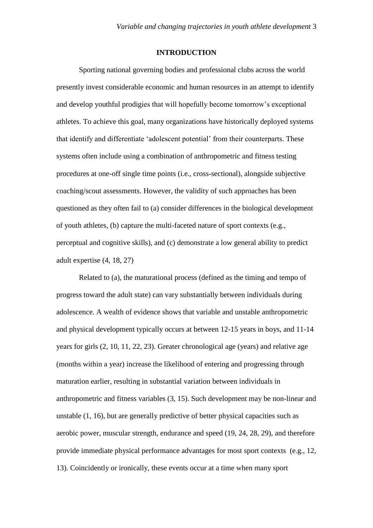## **INTRODUCTION**

Sporting national governing bodies and professional clubs across the world presently invest considerable economic and human resources in an attempt to identify and develop youthful prodigies that will hopefully become tomorrow's exceptional athletes. To achieve this goal, many organizations have historically deployed systems that identify and differentiate 'adolescent potential' from their counterparts. These systems often include using a combination of anthropometric and fitness testing procedures at one-off single time points (i.e., cross-sectional), alongside subjective coaching/scout assessments. However, the validity of such approaches has been questioned as they often fail to (a) consider differences in the biological development of youth athletes, (b) capture the multi-faceted nature of sport contexts (e.g., perceptual and cognitive skills), and (c) demonstrate a low general ability to predict adult expertise [\(4,](#page-28-0) [18,](#page-30-0) [27\)](#page-31-0)

Related to (a), the maturational process (defined as the timing and tempo of progress toward the adult state) can vary substantially between individuals during adolescence. A wealth of evidence shows that variable and unstable anthropometric and physical development typically occurs at between 12-15 years in boys, and 11-14 years for girls [\(2,](#page-28-1) [10,](#page-29-0) [11,](#page-29-1) [22,](#page-30-1) [23\)](#page-30-2). Greater chronological age (years) and relative age (months within a year) increase the likelihood of entering and progressing through maturation earlier, resulting in substantial variation between individuals in anthropometric and fitness variables [\(3,](#page-28-2) [15\)](#page-29-2). Such development may be non-linear and unstable [\(1,](#page-28-3) [16\)](#page-29-3), but are generally predictive of better physical capacities such as aerobic power, muscular strength, endurance and speed [\(19,](#page-30-3) [24,](#page-30-4) [28,](#page-31-1) [29\)](#page-31-2), and therefore provide immediate physical performance advantages for most sport contexts (e.g., [12,](#page-29-4) [13\)](#page-29-5). Coincidently or ironically, these events occur at a time when many sport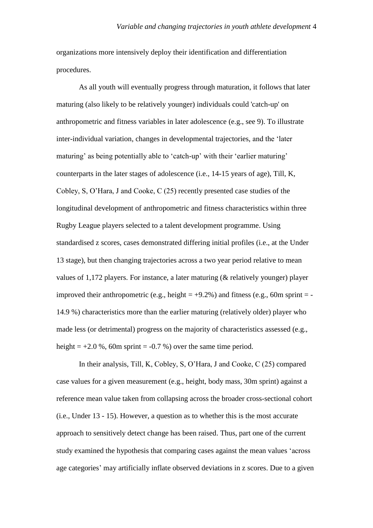organizations more intensively deploy their identification and differentiation procedures.

As all youth will eventually progress through maturation, it follows that later maturing (also likely to be relatively younger) individuals could 'catch-up' on anthropometric and fitness variables in later adolescence [\(e.g., see 9\)](#page-29-6). To illustrate inter-individual variation, changes in developmental trajectories, and the 'later maturing' as being potentially able to 'catch-up' with their 'earlier maturing' counterparts in the later stages of adolescence (i.e., 14-15 years of age), [Till, K,](#page-30-5)  [Cobley, S, O'Hara, J and Cooke, C \(25\)](#page-30-5) recently presented case studies of the longitudinal development of anthropometric and fitness characteristics within three Rugby League players selected to a talent development programme. Using standardised z scores, cases demonstrated differing initial profiles (i.e., at the Under 13 stage), but then changing trajectories across a two year period relative to mean values of 1,172 players. For instance, a later maturing (& relatively younger) player improved their anthropometric (e.g., height  $= +9.2\%$ ) and fitness (e.g., 60m sprint  $= -1$ 14.9 %) characteristics more than the earlier maturing (relatively older) player who made less (or detrimental) progress on the majority of characteristics assessed (e.g., height  $= +2.0$  %, 60m sprint  $= -0.7$  %) over the same time period.

In their analysis, [Till, K, Cobley, S, O'Hara, J and Cooke, C \(25\)](#page-30-5) compared case values for a given measurement (e.g., height, body mass, 30m sprint) against a reference mean value taken from collapsing across the broader cross-sectional cohort (i.e., Under 13 - 15). However, a question as to whether this is the most accurate approach to sensitively detect change has been raised. Thus, part one of the current study examined the hypothesis that comparing cases against the mean values 'across age categories' may artificially inflate observed deviations in z scores. Due to a given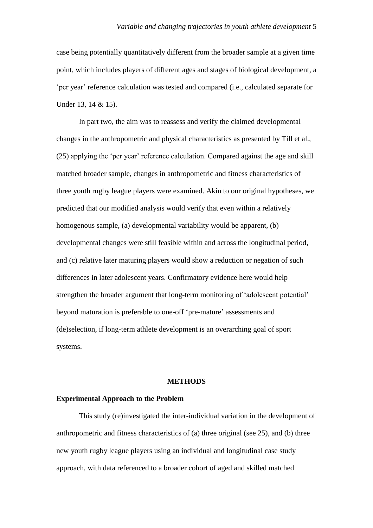case being potentially quantitatively different from the broader sample at a given time point, which includes players of different ages and stages of biological development, a 'per year' reference calculation was tested and compared (i.e., calculated separate for Under 13, 14 & 15).

In part two, the aim was to reassess and verify the claimed developmental changes in the anthropometric and physical characteristics as presented by Till et al., (25) applying the 'per year' reference calculation. Compared against the age and skill matched broader sample, changes in anthropometric and fitness characteristics of three youth rugby league players were examined. Akin to our original hypotheses, we predicted that our modified analysis would verify that even within a relatively homogenous sample, (a) developmental variability would be apparent, (b) developmental changes were still feasible within and across the longitudinal period, and (c) relative later maturing players would show a reduction or negation of such differences in later adolescent years. Confirmatory evidence here would help strengthen the broader argument that long-term monitoring of 'adolescent potential' beyond maturation is preferable to one-off 'pre-mature' assessments and (de)selection, if long-term athlete development is an overarching goal of sport systems.

### **METHODS**

## **Experimental Approach to the Problem**

This study (re)investigated the inter-individual variation in the development of anthropometric and fitness characteristics of (a) three original (see 25), and (b) three new youth rugby league players using an individual and longitudinal case study approach, with data referenced to a broader cohort of aged and skilled matched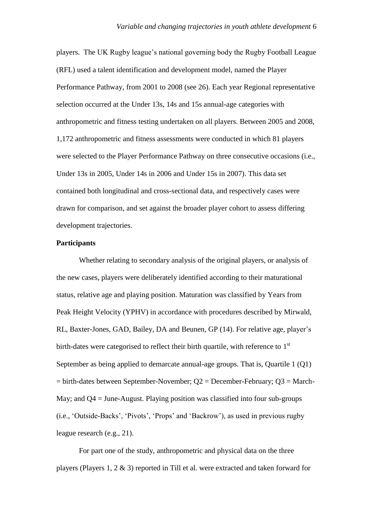players. The UK Rugby league's national governing body the Rugby Football League (RFL) used a talent identification and development model, named the Player Performance Pathway, from 2001 to 2008 [\(see 26\)](#page-31-3). Each year Regional representative selection occurred at the Under 13s, 14s and 15s annual-age categories with anthropometric and fitness testing undertaken on all players. Between 2005 and 2008, 1,172 anthropometric and fitness assessments were conducted in which 81 players were selected to the Player Performance Pathway on three consecutive occasions (i.e., Under 13s in 2005, Under 14s in 2006 and Under 15s in 2007). This data set contained both longitudinal and cross-sectional data, and respectively cases were drawn for comparison, and set against the broader player cohort to assess differing development trajectories.

## **Participants**

Whether relating to secondary analysis of the original players, or analysis of the new cases, players were deliberately identified according to their maturational status, relative age and playing position. Maturation was classified by Years from Peak Height Velocity (YPHV) in accordance with procedures described by [Mirwald,](#page-29-7)  [RL, Baxter-Jones, GAD, Bailey, DA and Beunen, GP \(14\)](#page-29-7). For relative age, player's birth-dates were categorised to reflect their birth quartile, with reference to  $1<sup>st</sup>$ September as being applied to demarcate annual-age groups. That is, Quartile 1 (Q1)  $=$  birth-dates between September-November; Q2 = December-February; Q3 = March-May; and Q4 = June-August. Playing position was classified into four sub-groups (i.e., 'Outside-Backs', 'Pivots', 'Props' and 'Backrow'), as used in previous rugby league research [\(e.g., 21\)](#page-30-6).

For part one of the study, anthropometric and physical data on the three players (Players 1, 2 & 3) reported in Till et al. were extracted and taken forward for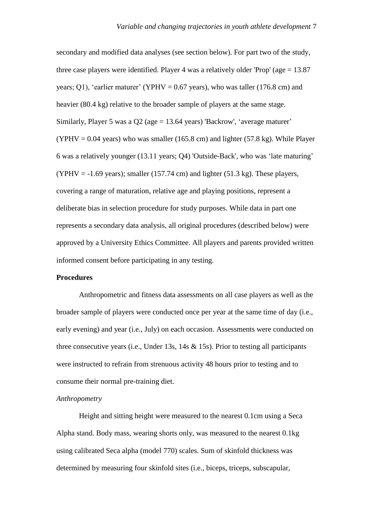secondary and modified data analyses (see section below). For part two of the study, three case players were identified. Player 4 was a relatively older 'Prop' (age  $= 13.87$ ) years; Q1), 'earlier maturer' (YPHV =  $0.67$  years), who was taller (176.8 cm) and heavier (80.4 kg) relative to the broader sample of players at the same stage. Similarly, Player 5 was a Q2 (age = 13.64 years) 'Backrow', 'average maturer'  $(YPHV = 0.04$  years) who was smaller (165.8 cm) and lighter (57.8 kg). While Player 6 was a relatively younger (13.11 years; Q4) 'Outside-Back', who was 'late maturing' (YPHV =  $-1.69$  years); smaller (157.74 cm) and lighter (51.3 kg). These players, covering a range of maturation, relative age and playing positions, represent a deliberate bias in selection procedure for study purposes. While data in part one represents a secondary data analysis, all original procedures (described below) were approved by a University Ethics Committee. All players and parents provided written informed consent before participating in any testing.

# **Procedures**

Anthropometric and fitness data assessments on all case players as well as the broader sample of players were conducted once per year at the same time of day (i.e., early evening) and year (i.e., July) on each occasion. Assessments were conducted on three consecutive years (i.e., Under 13s, 14s & 15s). Prior to testing all participants were instructed to refrain from strenuous activity 48 hours prior to testing and to consume their normal pre-training diet.

## *Anthropometry*

Height and sitting height were measured to the nearest 0.1cm using a Seca Alpha stand. Body mass, wearing shorts only, was measured to the nearest 0.1kg using calibrated Seca alpha (model 770) scales. Sum of skinfold thickness was determined by measuring four skinfold sites (i.e., biceps, triceps, subscapular,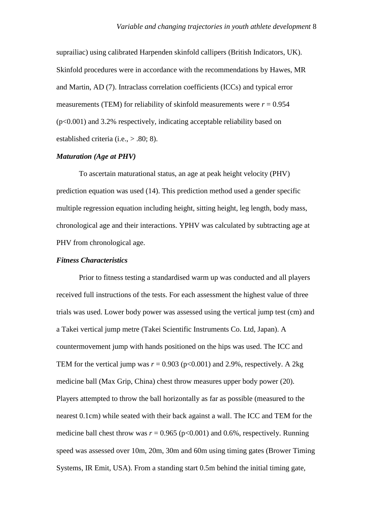suprailiac) using calibrated Harpenden skinfold callipers (British Indicators, UK). Skinfold procedures were in accordance with the recommendations by [Hawes, MR](#page-28-4)  [and Martin, AD \(7\)](#page-28-4). Intraclass correlation coefficients (ICCs) and typical error measurements (TEM) for reliability of skinfold measurements were  $r = 0.954$ (p<0.001) and 3.2% respectively, indicating acceptable reliability based on established criteria [\(i.e., > .80; 8\)](#page-29-8).

## *Maturation (Age at PHV)*

To ascertain maturational status, an age at peak height velocity (PHV) prediction equation was used [\(14\)](#page-29-7). This prediction method used a gender specific multiple regression equation including height, sitting height, leg length, body mass, chronological age and their interactions. YPHV was calculated by subtracting age at PHV from chronological age.

### *Fitness Characteristics*

Prior to fitness testing a standardised warm up was conducted and all players received full instructions of the tests. For each assessment the highest value of three trials was used. Lower body power was assessed using the vertical jump test (cm) and a Takei vertical jump metre (Takei Scientific Instruments Co. Ltd, Japan). A countermovement jump with hands positioned on the hips was used. The ICC and TEM for the vertical jump was  $r = 0.903$  ( $p < 0.001$ ) and 2.9%, respectively. A 2kg medicine ball (Max Grip, China) chest throw measures upper body power [\(20\)](#page-30-7). Players attempted to throw the ball horizontally as far as possible (measured to the nearest 0.1cm) while seated with their back against a wall. The ICC and TEM for the medicine ball chest throw was  $r = 0.965$  (p<0.001) and 0.6%, respectively. Running speed was assessed over 10m, 20m, 30m and 60m using timing gates (Brower Timing Systems, IR Emit, USA). From a standing start 0.5m behind the initial timing gate,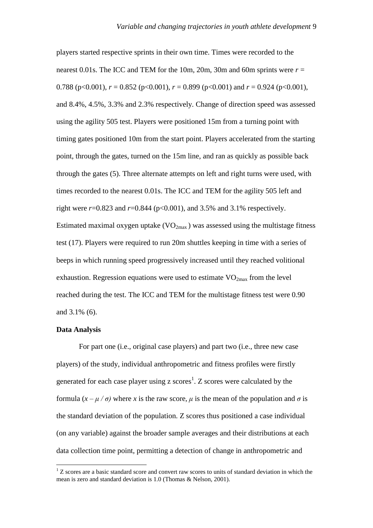players started respective sprints in their own time. Times were recorded to the nearest 0.01s. The ICC and TEM for the 10m, 20m, 30m and 60m sprints were  $r =$ 0.788 (p<0.001),  $r = 0.852$  (p<0.001),  $r = 0.899$  (p<0.001) and  $r = 0.924$  (p<0.001), and 8.4%, 4.5%, 3.3% and 2.3% respectively. Change of direction speed was assessed using the agility 505 test. Players were positioned 15m from a turning point with timing gates positioned 10m from the start point. Players accelerated from the starting point, through the gates, turned on the 15m line, and ran as quickly as possible back through the gates [\(5\)](#page-28-5). Three alternate attempts on left and right turns were used, with times recorded to the nearest 0.01s. The ICC and TEM for the agility 505 left and right were *r*=0.823 and *r*=0.844 (p<0.001), and 3.5% and 3.1% respectively. Estimated maximal oxygen uptake  $(VO_{2max})$  was assessed using the multistage fitness test [\(17\)](#page-30-8). Players were required to run 20m shuttles keeping in time with a series of beeps in which running speed progressively increased until they reached volitional exhaustion. Regression equations were used to estimate  $VO<sub>2max</sub>$  from the level reached during the test. The ICC and TEM for the multistage fitness test were 0.90 and 3.1% [\(6\)](#page-28-6).

## **Data Analysis**

<u>.</u>

For part one (i.e., original case players) and part two (i.e., three new case players) of the study, individual anthropometric and fitness profiles were firstly generated for each case player using z scores<sup>1</sup>. Z scores were calculated by the formula  $(x - \mu / \sigma)$  where *x* is the raw score,  $\mu$  is the mean of the population and  $\sigma$  is the standard deviation of the population. Z scores thus positioned a case individual (on any variable) against the broader sample averages and their distributions at each data collection time point, permitting a detection of change in anthropometric and

 $17$  z scores are a basic standard score and convert raw scores to units of standard deviation in which the mean is zero and standard deviation is 1.0 (Thomas & Nelson, 2001).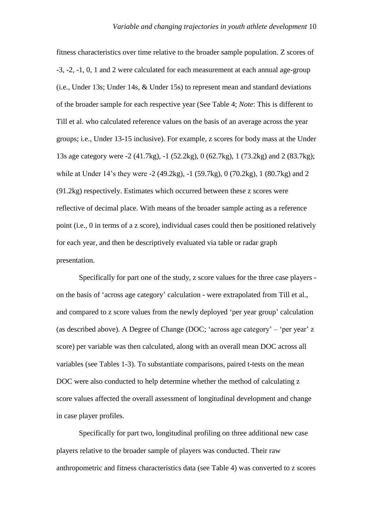fitness characteristics over time relative to the broader sample population. Z scores of -3, -2, -1, 0, 1 and 2 were calculated for each measurement at each annual age-group (i.e., Under 13s; Under 14s, & Under 15s) to represent mean and standard deviations of the broader sample for each respective year (See Table 4; *Note*: This is different to Till et al. who calculated reference values on the basis of an average across the year groups; i.e., Under 13-15 inclusive). For example, z scores for body mass at the Under 13s age category were -2 (41.7kg), -1 (52.2kg), 0 (62.7kg), 1 (73.2kg) and 2 (83.7kg); while at Under 14's they were -2 (49.2kg), -1 (59.7kg), 0 (70.2kg), 1 (80.7kg) and 2 (91.2kg) respectively. Estimates which occurred between these z scores were reflective of decimal place. With means of the broader sample acting as a reference point (i.e., 0 in terms of a z score), individual cases could then be positioned relatively for each year, and then be descriptively evaluated via table or radar graph presentation.

Specifically for part one of the study, z score values for the three case players on the basis of 'across age category' calculation - were extrapolated from Till et al., and compared to z score values from the newly deployed 'per year group' calculation (as described above). A Degree of Change (DOC; 'across age category' – 'per year' z score) per variable was then calculated, along with an overall mean DOC across all variables (see Tables 1-3). To substantiate comparisons, paired t-tests on the mean DOC were also conducted to help determine whether the method of calculating z score values affected the overall assessment of longitudinal development and change in case player profiles.

Specifically for part two, longitudinal profiling on three additional new case players relative to the broader sample of players was conducted. Their raw anthropometric and fitness characteristics data (see Table 4) was converted to z scores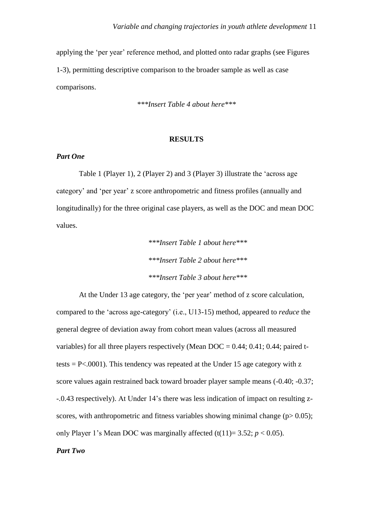applying the 'per year' reference method, and plotted onto radar graphs (see Figures 1-3), permitting descriptive comparison to the broader sample as well as case comparisons.

*\*\*\*Insert Table 4 about here\*\*\**

#### **RESULTS**

# *Part One*

Table 1 (Player 1), 2 (Player 2) and 3 (Player 3) illustrate the 'across age category' and 'per year' z score anthropometric and fitness profiles (annually and longitudinally) for the three original case players, as well as the DOC and mean DOC values.

> *\*\*\*Insert Table 1 about here\*\*\* \*\*\*Insert Table 2 about here\*\*\* \*\*\*Insert Table 3 about here\*\*\**

At the Under 13 age category, the 'per year' method of z score calculation, compared to the 'across age-category' (i.e., U13-15) method, appeared to *reduce* the general degree of deviation away from cohort mean values (across all measured variables) for all three players respectively (Mean  $DOC = 0.44$ ; 0.41; 0.44; paired ttests  $= P<.0001$ ). This tendency was repeated at the Under 15 age category with z score values again restrained back toward broader player sample means (-0.40; -0.37; -.0.43 respectively). At Under 14's there was less indication of impact on resulting zscores, with anthropometric and fitness variables showing minimal change ( $p > 0.05$ ); only Player 1's Mean DOC was marginally affected  $(t(11)=3.52; p < 0.05)$ .

# *Part Two*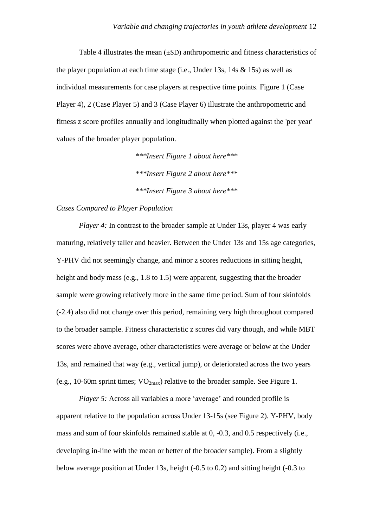Table 4 illustrates the mean  $(\pm SD)$  anthropometric and fitness characteristics of the player population at each time stage (i.e., Under 13s, 14s & 15s) as well as individual measurements for case players at respective time points. Figure 1 (Case Player 4), 2 (Case Player 5) and 3 (Case Player 6) illustrate the anthropometric and fitness z score profiles annually and longitudinally when plotted against the 'per year' values of the broader player population.

> *\*\*\*Insert Figure 1 about here\*\*\* \*\*\*Insert Figure 2 about here\*\*\* \*\*\*Insert Figure 3 about here\*\*\**

### *Cases Compared to Player Population*

*Player 4:* In contrast to the broader sample at Under 13s, player 4 was early maturing, relatively taller and heavier. Between the Under 13s and 15s age categories, Y-PHV did not seemingly change, and minor z scores reductions in sitting height, height and body mass (e.g., 1.8 to 1.5) were apparent, suggesting that the broader sample were growing relatively more in the same time period. Sum of four skinfolds (-2.4) also did not change over this period, remaining very high throughout compared to the broader sample. Fitness characteristic z scores did vary though, and while MBT scores were above average, other characteristics were average or below at the Under 13s, and remained that way (e.g., vertical jump), or deteriorated across the two years (e.g., 10-60m sprint times;  $VO_{2max}$ ) relative to the broader sample. See Figure 1.

*Player 5:* Across all variables a more 'average' and rounded profile is apparent relative to the population across Under 13-15s (see Figure 2). Y-PHV, body mass and sum of four skinfolds remained stable at 0, -0.3, and 0.5 respectively (i.e., developing in-line with the mean or better of the broader sample). From a slightly below average position at Under 13s, height (-0.5 to 0.2) and sitting height (-0.3 to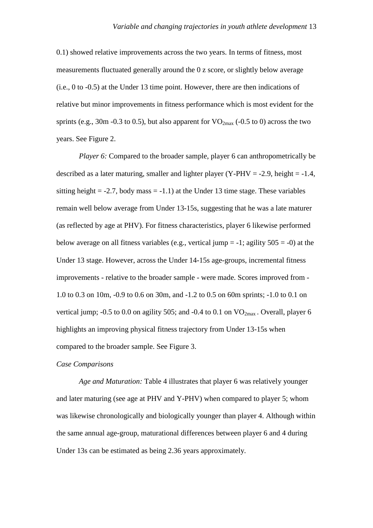0.1) showed relative improvements across the two years. In terms of fitness, most measurements fluctuated generally around the 0 z score, or slightly below average (i.e., 0 to -0.5) at the Under 13 time point. However, there are then indications of relative but minor improvements in fitness performance which is most evident for the sprints (e.g., 30m -0.3 to 0.5), but also apparent for  $VO_{2max}$  (-0.5 to 0) across the two years. See Figure 2.

*Player 6:* Compared to the broader sample, player 6 can anthropometrically be described as a later maturing, smaller and lighter player (Y-PHV = -2.9, height = -1.4, sitting height  $= -2.7$ , body mass  $= -1.1$ ) at the Under 13 time stage. These variables remain well below average from Under 13-15s, suggesting that he was a late maturer (as reflected by age at PHV). For fitness characteristics, player 6 likewise performed below average on all fitness variables (e.g., vertical jump  $= -1$ ; agility 505  $= -0$ ) at the Under 13 stage. However, across the Under 14-15s age-groups, incremental fitness improvements - relative to the broader sample - were made. Scores improved from - 1.0 to 0.3 on 10m, -0.9 to 0.6 on 30m, and -1.2 to 0.5 on 60m sprints; -1.0 to 0.1 on vertical jump; -0.5 to 0.0 on agility 505; and -0.4 to 0.1 on  $VO_{2max}$ . Overall, player 6 highlights an improving physical fitness trajectory from Under 13-15s when compared to the broader sample. See Figure 3.

## *Case Comparisons*

*Age and Maturation:* Table 4 illustrates that player 6 was relatively younger and later maturing (see age at PHV and Y-PHV) when compared to player 5; whom was likewise chronologically and biologically younger than player 4. Although within the same annual age-group, maturational differences between player 6 and 4 during Under 13s can be estimated as being 2.36 years approximately.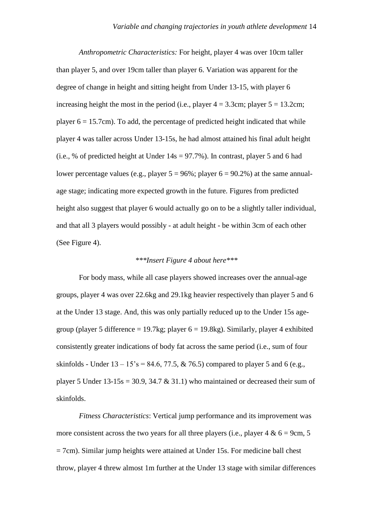*Anthropometric Characteristics:* For height, player 4 was over 10cm taller than player 5, and over 19cm taller than player 6. Variation was apparent for the degree of change in height and sitting height from Under 13-15, with player 6 increasing height the most in the period (i.e., player  $4 = 3.3$ cm; player  $5 = 13.2$ cm; player  $6 = 15.7$ cm). To add, the percentage of predicted height indicated that while player 4 was taller across Under 13-15s, he had almost attained his final adult height (i.e., % of predicted height at Under  $14s = 97.7\%$ ). In contrast, player 5 and 6 had lower percentage values (e.g., player  $5 = 96\%$ ; player  $6 = 90.2\%$ ) at the same annualage stage; indicating more expected growth in the future. Figures from predicted height also suggest that player 6 would actually go on to be a slightly taller individual, and that all 3 players would possibly - at adult height - be within 3cm of each other (See Figure 4).

# *\*\*\*Insert Figure 4 about here\*\*\**

For body mass, while all case players showed increases over the annual-age groups, player 4 was over 22.6kg and 29.1kg heavier respectively than player 5 and 6 at the Under 13 stage. And, this was only partially reduced up to the Under 15s agegroup (player 5 difference = 19.7kg; player  $6 = 19.8$ kg). Similarly, player 4 exhibited consistently greater indications of body fat across the same period (i.e., sum of four skinfolds - Under  $13 - 15$ 's = 84.6, 77.5, & 76.5) compared to player 5 and 6 (e.g., player 5 Under  $13-15s = 30.9$ ,  $34.7 \& 31.1$ ) who maintained or decreased their sum of skinfolds.

*Fitness Characteristics*: Vertical jump performance and its improvement was more consistent across the two years for all three players (i.e., player  $4 \& 6 = 9$ cm, 5  $= 7$ cm). Similar jump heights were attained at Under 15s. For medicine ball chest throw, player 4 threw almost 1m further at the Under 13 stage with similar differences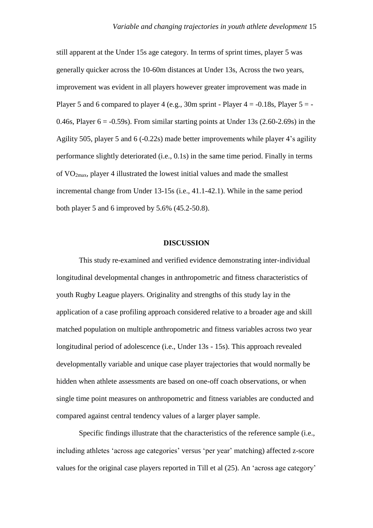still apparent at the Under 15s age category. In terms of sprint times, player 5 was generally quicker across the 10-60m distances at Under 13s, Across the two years, improvement was evident in all players however greater improvement was made in Player 5 and 6 compared to player 4 (e.g., 30m sprint - Player  $4 = -0.18$ s, Player  $5 = -1$ ) 0.46s, Player  $6 = -0.59s$ ). From similar starting points at Under 13s (2.60-2.69s) in the Agility 505, player 5 and 6 (-0.22s) made better improvements while player 4's agility performance slightly deteriorated (i.e., 0.1s) in the same time period. Finally in terms of VO2max, player 4 illustrated the lowest initial values and made the smallest incremental change from Under 13-15s (i.e., 41.1-42.1). While in the same period both player 5 and 6 improved by 5.6% (45.2-50.8).

### **DISCUSSION**

This study re-examined and verified evidence demonstrating inter-individual longitudinal developmental changes in anthropometric and fitness characteristics of youth Rugby League players. Originality and strengths of this study lay in the application of a case profiling approach considered relative to a broader age and skill matched population on multiple anthropometric and fitness variables across two year longitudinal period of adolescence (i.e., Under 13s - 15s). This approach revealed developmentally variable and unique case player trajectories that would normally be hidden when athlete assessments are based on one-off coach observations, or when single time point measures on anthropometric and fitness variables are conducted and compared against central tendency values of a larger player sample.

Specific findings illustrate that the characteristics of the reference sample (i.e., including athletes 'across age categories' versus 'per year' matching) affected z-score values for the original case players reported in Till et al (25). An 'across age category'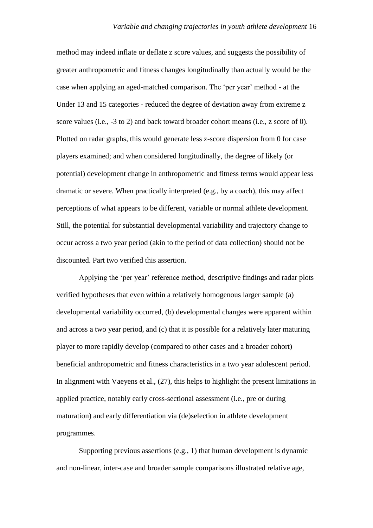method may indeed inflate or deflate z score values, and suggests the possibility of greater anthropometric and fitness changes longitudinally than actually would be the case when applying an aged-matched comparison. The 'per year' method - at the Under 13 and 15 categories - reduced the degree of deviation away from extreme z score values (i.e., -3 to 2) and back toward broader cohort means (i.e., z score of 0). Plotted on radar graphs, this would generate less z-score dispersion from 0 for case players examined; and when considered longitudinally, the degree of likely (or potential) development change in anthropometric and fitness terms would appear less dramatic or severe. When practically interpreted (e.g., by a coach), this may affect perceptions of what appears to be different, variable or normal athlete development. Still, the potential for substantial developmental variability and trajectory change to occur across a two year period (akin to the period of data collection) should not be discounted. Part two verified this assertion.

Applying the 'per year' reference method, descriptive findings and radar plots verified hypotheses that even within a relatively homogenous larger sample (a) developmental variability occurred, (b) developmental changes were apparent within and across a two year period, and (c) that it is possible for a relatively later maturing player to more rapidly develop (compared to other cases and a broader cohort) beneficial anthropometric and fitness characteristics in a two year adolescent period. In alignment with Vaeyens et al., [\(27\)](#page-31-0), this helps to highlight the present limitations in applied practice, notably early cross-sectional assessment (i.e., pre or during maturation) and early differentiation via (de)selection in athlete development programmes.

Supporting previous assertions [\(e.g., 1\)](#page-28-3) that human development is dynamic and non-linear, inter-case and broader sample comparisons illustrated relative age,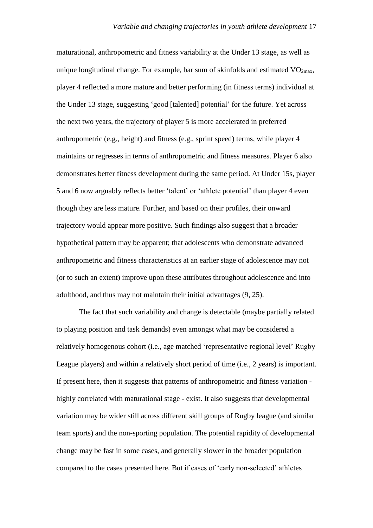maturational, anthropometric and fitness variability at the Under 13 stage, as well as unique longitudinal change. For example, bar sum of skinfolds and estimated  $VO<sub>2max</sub>$ , player 4 reflected a more mature and better performing (in fitness terms) individual at the Under 13 stage, suggesting 'good [talented] potential' for the future. Yet across the next two years, the trajectory of player 5 is more accelerated in preferred anthropometric (e.g., height) and fitness (e.g., sprint speed) terms, while player 4 maintains or regresses in terms of anthropometric and fitness measures. Player 6 also demonstrates better fitness development during the same period. At Under 15s, player 5 and 6 now arguably reflects better 'talent' or 'athlete potential' than player 4 even though they are less mature. Further, and based on their profiles, their onward trajectory would appear more positive. Such findings also suggest that a broader hypothetical pattern may be apparent; that adolescents who demonstrate advanced anthropometric and fitness characteristics at an earlier stage of adolescence may not (or to such an extent) improve upon these attributes throughout adolescence and into adulthood, and thus may not maintain their initial advantages (9, 25).

The fact that such variability and change is detectable (maybe partially related to playing position and task demands) even amongst what may be considered a relatively homogenous cohort (i.e., age matched 'representative regional level' Rugby League players) and within a relatively short period of time (i.e., 2 years) is important. If present here, then it suggests that patterns of anthropometric and fitness variation highly correlated with maturational stage - exist. It also suggests that developmental variation may be wider still across different skill groups of Rugby league (and similar team sports) and the non-sporting population. The potential rapidity of developmental change may be fast in some cases, and generally slower in the broader population compared to the cases presented here. But if cases of 'early non-selected' athletes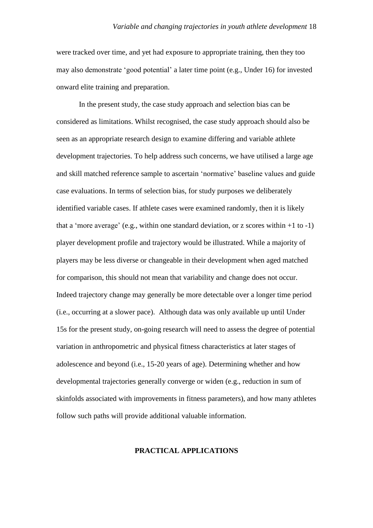were tracked over time, and yet had exposure to appropriate training, then they too may also demonstrate 'good potential' a later time point (e.g., Under 16) for invested onward elite training and preparation.

In the present study, the case study approach and selection bias can be considered as limitations. Whilst recognised, the case study approach should also be seen as an appropriate research design to examine differing and variable athlete development trajectories. To help address such concerns, we have utilised a large age and skill matched reference sample to ascertain 'normative' baseline values and guide case evaluations. In terms of selection bias, for study purposes we deliberately identified variable cases. If athlete cases were examined randomly, then it is likely that a 'more average' (e.g., within one standard deviation, or z scores within  $+1$  to  $-1$ ) player development profile and trajectory would be illustrated. While a majority of players may be less diverse or changeable in their development when aged matched for comparison, this should not mean that variability and change does not occur. Indeed trajectory change may generally be more detectable over a longer time period (i.e., occurring at a slower pace). Although data was only available up until Under 15s for the present study, on-going research will need to assess the degree of potential variation in anthropometric and physical fitness characteristics at later stages of adolescence and beyond (i.e., 15-20 years of age). Determining whether and how developmental trajectories generally converge or widen (e.g., reduction in sum of skinfolds associated with improvements in fitness parameters), and how many athletes follow such paths will provide additional valuable information.

# **PRACTICAL APPLICATIONS**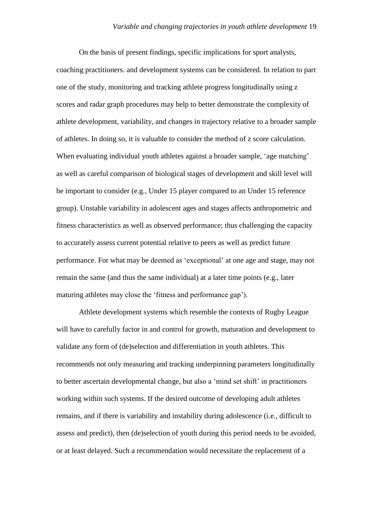On the basis of present findings, specific implications for sport analysts, coaching practitioners. and development systems can be considered. In relation to part one of the study, monitoring and tracking athlete progress longitudinally using z scores and radar graph procedures may help to better demonstrate the complexity of athlete development, variability, and changes in trajectory relative to a broader sample of athletes. In doing so, it is valuable to consider the method of z score calculation. When evaluating individual youth athletes against a broader sample, 'age matching' as well as careful comparison of biological stages of development and skill level will be important to consider (e.g., Under 15 player compared to an Under 15 reference group). Unstable variability in adolescent ages and stages affects anthropometric and fitness characteristics as well as observed performance; thus challenging the capacity to accurately assess current potential relative to peers as well as predict future performance. For what may be deemed as 'exceptional' at one age and stage, may not remain the same (and thus the same individual) at a later time points (e.g., later maturing athletes may close the 'fitness and performance gap').

Athlete development systems which resemble the contexts of Rugby League will have to carefully factor in and control for growth, maturation and development to validate any form of (de)selection and differentiation in youth athletes. This recommends not only measuring and tracking underpinning parameters longitudinally to better ascertain developmental change, but also a 'mind set shift' in practitioners working within such systems. If the desired outcome of developing adult athletes remains, and if there is variability and instability during adolescence (i.e., difficult to assess and predict), then (de)selection of youth during this period needs to be avoided, or at least delayed. Such a recommendation would necessitate the replacement of a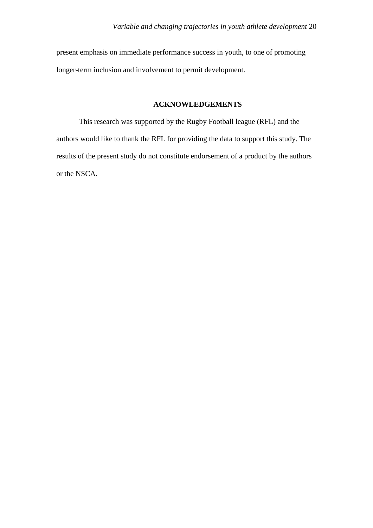present emphasis on immediate performance success in youth, to one of promoting longer-term inclusion and involvement to permit development.

## **ACKNOWLEDGEMENTS**

This research was supported by the Rugby Football league (RFL) and the authors would like to thank the RFL for providing the data to support this study. The results of the present study do not constitute endorsement of a product by the authors or the NSCA.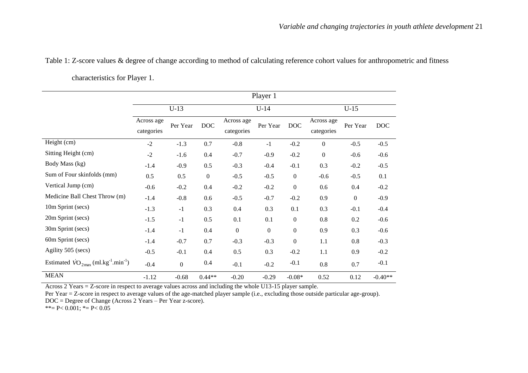Table 1: Z-score values & degree of change according to method of calculating reference cohort values for anthropometric and fitness

|                                                                           | Player 1                 |              |                  |                          |                  |                  |                          |              |            |  |
|---------------------------------------------------------------------------|--------------------------|--------------|------------------|--------------------------|------------------|------------------|--------------------------|--------------|------------|--|
|                                                                           |                          | $U-13$       |                  |                          | $U-14$           |                  | $U-15$                   |              |            |  |
|                                                                           | Across age<br>categories | Per Year     | DOC              | Across age<br>categories | Per Year         | <b>DOC</b>       | Across age<br>categories | Per Year     | <b>DOC</b> |  |
| Height (cm)                                                               | $-2$                     | $-1.3$       | 0.7              | $-0.8$                   | $-1$             | $-0.2$           | $\mathbf{0}$             | $-0.5$       | $-0.5$     |  |
| Sitting Height (cm)                                                       | $-2$                     | $-1.6$       | 0.4              | $-0.7$                   | $-0.9$           | $-0.2$           | $\boldsymbol{0}$         | $-0.6$       | $-0.6$     |  |
| Body Mass (kg)                                                            | $-1.4$                   | $-0.9$       | 0.5              | $-0.3$                   | $-0.4$           | $-0.1$           | 0.3                      | $-0.2$       | $-0.5$     |  |
| Sum of Four skinfolds (mm)                                                | 0.5                      | 0.5          | $\boldsymbol{0}$ | $-0.5$                   | $-0.5$           | $\boldsymbol{0}$ | $-0.6$                   | $-0.5$       | 0.1        |  |
| Vertical Jump (cm)                                                        | $-0.6$                   | $-0.2$       | 0.4              | $-0.2$                   | $-0.2$           | $\boldsymbol{0}$ | 0.6                      | 0.4          | $-0.2$     |  |
| Medicine Ball Chest Throw (m)                                             | $-1.4$                   | $-0.8$       | 0.6              | $-0.5$                   | $-0.7$           | $-0.2$           | 0.9                      | $\mathbf{0}$ | $-0.9$     |  |
| 10m Sprint (secs)                                                         | $-1.3$                   | $-1$         | 0.3              | 0.4                      | 0.3              | 0.1              | 0.3                      | $-0.1$       | $-0.4$     |  |
| 20m Sprint (secs)                                                         | $-1.5$                   | $-1$         | 0.5              | 0.1                      | 0.1              | $\boldsymbol{0}$ | 0.8                      | 0.2          | $-0.6$     |  |
| 30m Sprint (secs)                                                         | $-1.4$                   | $-1$         | 0.4              | $\boldsymbol{0}$         | $\boldsymbol{0}$ | $\boldsymbol{0}$ | 0.9                      | 0.3          | $-0.6$     |  |
| 60m Sprint (secs)                                                         | $-1.4$                   | $-0.7$       | 0.7              | $-0.3$                   | $-0.3$           | $\boldsymbol{0}$ | 1.1                      | 0.8          | $-0.3$     |  |
| Agility 505 (secs)                                                        | $-0.5$                   | $-0.1$       | 0.4              | 0.5                      | 0.3              | $-0.2$           | 1.1                      | 0.9          | $-0.2$     |  |
| Estimated $\rm{VO}_{2\rm{max}}$ (ml.kg <sup>-1</sup> .min <sup>-1</sup> ) | $-0.4$                   | $\mathbf{0}$ | 0.4              | $-0.1$                   | $-0.2$           | $-0.1$           | 0.8                      | 0.7          | $-0.1$     |  |
| <b>MEAN</b>                                                               | $-1.12$                  | $-0.68$      | $0.44**$         | $-0.20$                  | $-0.29$          | $-0.08*$         | 0.52                     | 0.12         | $-0.40**$  |  |

characteristics for Player 1.

Across 2 Years = Z-score in respect to average values across and including the whole U13-15 player sample.

Per Year = Z-score in respect to average values of the age-matched player sample (i.e., excluding those outside particular age-group).

DOC = Degree of Change (Across 2 Years – Per Year z-score).

\*\*=  $P < 0.001$ ; \*=  $P < 0.05$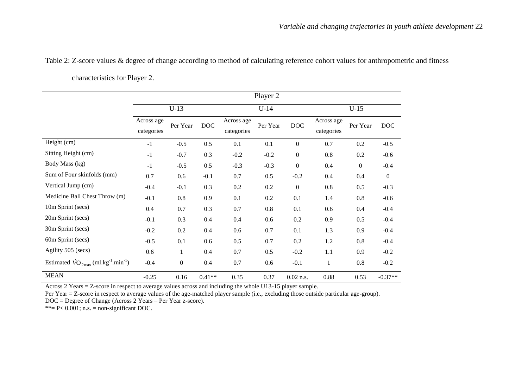Table 2: Z-score values & degree of change according to method of calculating reference cohort values for anthropometric and fitness

|                                                                           | Player 2                                           |                  |          |                                             |        |                  |                                                    |                  |                  |  |
|---------------------------------------------------------------------------|----------------------------------------------------|------------------|----------|---------------------------------------------|--------|------------------|----------------------------------------------------|------------------|------------------|--|
|                                                                           |                                                    | $U-13$           |          |                                             | $U-14$ |                  | $U-15$                                             |                  |                  |  |
|                                                                           | Across age<br><b>DOC</b><br>Per Year<br>categories |                  |          | Across age<br>Per Year<br>DOC<br>categories |        |                  | Across age<br><b>DOC</b><br>Per Year<br>categories |                  |                  |  |
| Height (cm)                                                               | $-1$                                               | $-0.5$           | 0.5      | 0.1                                         | 0.1    | $\boldsymbol{0}$ | 0.7                                                | 0.2              | $-0.5$           |  |
| Sitting Height (cm)                                                       | $-1$                                               | $-0.7$           | 0.3      | $-0.2$                                      | $-0.2$ | $\boldsymbol{0}$ | 0.8                                                | $0.2\,$          | $-0.6$           |  |
| Body Mass (kg)                                                            | $-1$                                               | $-0.5$           | 0.5      | $-0.3$                                      | $-0.3$ | $\boldsymbol{0}$ | 0.4                                                | $\boldsymbol{0}$ | $-0.4$           |  |
| Sum of Four skinfolds (mm)                                                | 0.7                                                | 0.6              | $-0.1$   | 0.7                                         | 0.5    | $-0.2$           | 0.4                                                | 0.4              | $\boldsymbol{0}$ |  |
| Vertical Jump (cm)                                                        | $-0.4$                                             | $-0.1$           | 0.3      | 0.2                                         | 0.2    | $\boldsymbol{0}$ | 0.8                                                | 0.5              | $-0.3$           |  |
| Medicine Ball Chest Throw (m)                                             | $-0.1$                                             | 0.8              | 0.9      | 0.1                                         | 0.2    | 0.1              | 1.4                                                | 0.8              | $-0.6$           |  |
| 10m Sprint (secs)                                                         | 0.4                                                | 0.7              | 0.3      | 0.7                                         | 0.8    | 0.1              | 0.6                                                | 0.4              | $-0.4$           |  |
| 20m Sprint (secs)                                                         | $-0.1$                                             | 0.3              | 0.4      | 0.4                                         | 0.6    | 0.2              | 0.9                                                | 0.5              | $-0.4$           |  |
| 30m Sprint (secs)                                                         | $-0.2$                                             | 0.2              | 0.4      | 0.6                                         | 0.7    | 0.1              | 1.3                                                | 0.9              | $-0.4$           |  |
| 60m Sprint (secs)                                                         | $-0.5$                                             | 0.1              | 0.6      | 0.5                                         | 0.7    | 0.2              | 1.2                                                | 0.8              | $-0.4$           |  |
| Agility 505 (secs)                                                        | 0.6                                                | 1                | 0.4      | 0.7                                         | 0.5    | $-0.2$           | 1.1                                                | 0.9              | $-0.2$           |  |
| Estimated $\rm{VO}_{2\rm{max}}$ (ml.kg <sup>-1</sup> .min <sup>-1</sup> ) | $-0.4$                                             | $\boldsymbol{0}$ | 0.4      | 0.7                                         | 0.6    | $-0.1$           | $\mathbf{1}$                                       | 0.8              | $-0.2$           |  |
| <b>MEAN</b>                                                               | $-0.25$                                            | 0.16             | $0.41**$ | 0.35                                        | 0.37   | $0.02$ n.s.      | 0.88                                               | 0.53             | $-0.37**$        |  |

characteristics for Player 2.

Across 2 Years = Z-score in respect to average values across and including the whole U13-15 player sample.

Per Year = Z-score in respect to average values of the age-matched player sample (i.e., excluding those outside particular age-group).

DOC = Degree of Change (Across 2 Years – Per Year z-score).

 $**=$  P< 0.001; n.s. = non-significant DOC.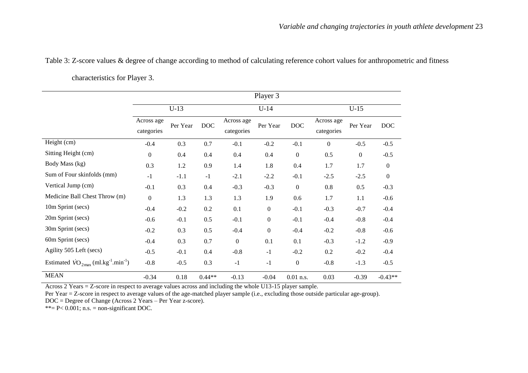Table 3: Z-score values & degree of change according to method of calculating reference cohort values for anthropometric and fitness

|                                                                           | Player 3                             |        |            |                          |                |                  |                          |                  |                  |  |
|---------------------------------------------------------------------------|--------------------------------------|--------|------------|--------------------------|----------------|------------------|--------------------------|------------------|------------------|--|
|                                                                           |                                      | $U-13$ |            |                          | $U-14$         |                  | $U-15$                   |                  |                  |  |
|                                                                           | Across age<br>Per Year<br>categories |        | <b>DOC</b> | Across age<br>categories | Per Year       | DOC              | Across age<br>categories | Per Year         | <b>DOC</b>       |  |
| Height (cm)                                                               | $-0.4$                               | 0.3    | 0.7        | $-0.1$                   | $-0.2$         | $-0.1$           | $\overline{0}$           | $-0.5$           | $-0.5$           |  |
| Sitting Height (cm)                                                       | $\boldsymbol{0}$                     | 0.4    | 0.4        | 0.4                      | 0.4            | $\boldsymbol{0}$ | 0.5                      | $\boldsymbol{0}$ | $-0.5$           |  |
| Body Mass (kg)                                                            | 0.3                                  | 1.2    | 0.9        | 1.4                      | 1.8            | 0.4              | 1.7                      | 1.7              | $\boldsymbol{0}$ |  |
| Sum of Four skinfolds (mm)                                                | $-1$                                 | $-1.1$ | $-1$       | $-2.1$                   | $-2.2$         | $-0.1$           | $-2.5$                   | $-2.5$           | $\boldsymbol{0}$ |  |
| Vertical Jump (cm)                                                        | $-0.1$                               | 0.3    | 0.4        | $-0.3$                   | $-0.3$         | $\boldsymbol{0}$ | 0.8                      | 0.5              | $-0.3$           |  |
| Medicine Ball Chest Throw (m)                                             | $\boldsymbol{0}$                     | 1.3    | 1.3        | 1.3                      | 1.9            | 0.6              | 1.7                      | 1.1              | $-0.6$           |  |
| 10m Sprint (secs)                                                         | $-0.4$                               | $-0.2$ | 0.2        | 0.1                      | $\overline{0}$ | $-0.1$           | $-0.3$                   | $-0.7$           | $-0.4$           |  |
| 20m Sprint (secs)                                                         | $-0.6$                               | $-0.1$ | 0.5        | $-0.1$                   | $\overline{0}$ | $-0.1$           | $-0.4$                   | $-0.8$           | $-0.4$           |  |
| 30m Sprint (secs)                                                         | $-0.2$                               | 0.3    | 0.5        | $-0.4$                   | $\overline{0}$ | $-0.4$           | $-0.2$                   | $-0.8$           | $-0.6$           |  |
| 60m Sprint (secs)                                                         | $-0.4$                               | 0.3    | 0.7        | $\boldsymbol{0}$         | 0.1            | 0.1              | $-0.3$                   | $-1.2$           | $-0.9$           |  |
| Agility 505 Left (secs)                                                   | $-0.5$                               | $-0.1$ | 0.4        | $-0.8$                   | $-1$           | $-0.2$           | 0.2                      | $-0.2$           | $-0.4$           |  |
| Estimated $\rm{VO}_{2\rm{max}}$ (ml.kg <sup>-1</sup> .min <sup>-1</sup> ) | $-0.8$                               | $-0.5$ | 0.3        | $-1$                     | $-1$           | $\boldsymbol{0}$ | $-0.8$                   | $-1.3$           | $-0.5$           |  |
| <b>MEAN</b>                                                               | $-0.34$                              | 0.18   | $0.44**$   | $-0.13$                  | $-0.04$        | $0.01$ n.s.      | 0.03                     | $-0.39$          | $-0.43**$        |  |

characteristics for Player 3.

Across 2 Years = Z-score in respect to average values across and including the whole U13-15 player sample.

Per Year = Z-score in respect to average values of the age-matched player sample (i.e., excluding those outside particular age-group).

DOC = Degree of Change (Across 2 Years – Per Year z-score).

 $**=$  P< 0.001; n.s. = non-significant DOC.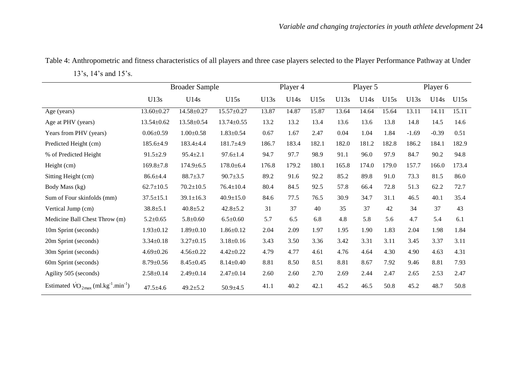Table 4: Anthropometric and fitness characteristics of all players and three case players selected to the Player Performance Pathway at Under 13's, 14's and 15's.

|                                                                                   | <b>Broader Sample</b> |                 |                  |       | Player 4 |       |       | Player 5 |       |         | Player 6 |       |  |
|-----------------------------------------------------------------------------------|-----------------------|-----------------|------------------|-------|----------|-------|-------|----------|-------|---------|----------|-------|--|
|                                                                                   | U13s                  | U14s            | U15s             | U13s  | U14s     | U15s  | U13s  | U14s     | U15s  | U13s    | U14s     | U15s  |  |
| Age (years)                                                                       | $13.60 \pm 0.27$      | 14.58±0.27      | $15.57 \pm 0.27$ | 13.87 | 14.87    | 15.87 | 13.64 | 14.64    | 15.64 | 13.11   | 14.11    | 15.11 |  |
| Age at PHV (years)                                                                | $13.54 \pm 0.62$      | 13.58±0.54      | $13.74 \pm 0.55$ | 13.2  | 13.2     | 13.4  | 13.6  | 13.6     | 13.8  | 14.8    | 14.5     | 14.6  |  |
| Years from PHV (years)                                                            | $0.06 \pm 0.59$       | $1.00 \pm 0.58$ | $1.83 \pm 0.54$  | 0.67  | 1.67     | 2.47  | 0.04  | 1.04     | 1.84  | $-1.69$ | $-0.39$  | 0.51  |  |
| Predicted Height (cm)                                                             | $185.6{\pm}4.9$       | $183.4 + 4.4$   | $181.7 + 4.9$    | 186.7 | 183.4    | 182.1 | 182.0 | 181.2    | 182.8 | 186.2   | 184.1    | 182.9 |  |
| % of Predicted Height                                                             | $91.5 \pm 2.9$        | $95.4 \pm 2.1$  | $97.6 \pm 1.4$   | 94.7  | 97.7     | 98.9  | 91.1  | 96.0     | 97.9  | 84.7    | 90.2     | 94.8  |  |
| Height (cm)                                                                       | $169.8 \pm 7.8$       | $174.9 \pm 6.5$ | $178.0 \pm 6.4$  | 176.8 | 179.2    | 180.1 | 165.8 | 174.0    | 179.0 | 157.7   | 166.0    | 173.4 |  |
| Sitting Height (cm)                                                               | $86.6 \pm 4.4$        | $88.7 \pm 3.7$  | $90.7 \pm 3.5$   | 89.2  | 91.6     | 92.2  | 85.2  | 89.8     | 91.0  | 73.3    | 81.5     | 86.0  |  |
| Body Mass (kg)                                                                    | $62.7 \pm 10.5$       | $70.2 \pm 10.5$ | $76.4 \pm 10.4$  | 80.4  | 84.5     | 92.5  | 57.8  | 66.4     | 72.8  | 51.3    | 62.2     | 72.7  |  |
| Sum of Four skinfolds (mm)                                                        | $37.5 \pm 15.1$       | $39.1 \pm 16.3$ | $40.9 \pm 15.0$  | 84.6  | 77.5     | 76.5  | 30.9  | 34.7     | 31.1  | 46.5    | 40.1     | 35.4  |  |
| Vertical Jump (cm)                                                                | $38.8 + 5.1$          | $40.8 \pm 5.2$  | $42.8 \pm 5.2$   | 31    | 37       | 40    | 35    | 37       | 42    | 34      | 37       | 43    |  |
| Medicine Ball Chest Throw (m)                                                     | $5.2 \pm 0.65$        | $5.8 \pm 0.60$  | $6.5 \pm 0.60$   | 5.7   | 6.5      | 6.8   | 4.8   | 5.8      | 5.6   | 4.7     | 5.4      | 6.1   |  |
| 10m Sprint (seconds)                                                              | $1.93 \pm 0.12$       | $1.89 \pm 0.10$ | $1.86 \pm 0.12$  | 2.04  | 2.09     | 1.97  | 1.95  | 1.90     | 1.83  | 2.04    | 1.98     | 1.84  |  |
| 20m Sprint (seconds)                                                              | $3.34 \pm 0.18$       | $3.27 \pm 0.15$ | $3.18 \pm 0.16$  | 3.43  | 3.50     | 3.36  | 3.42  | 3.31     | 3.11  | 3.45    | 3.37     | 3.11  |  |
| 30m Sprint (seconds)                                                              | $4.69 \pm 0.26$       | $4.56 \pm 0.22$ | $4.42 \pm 0.22$  | 4.79  | 4.77     | 4.61  | 4.76  | 4.64     | 4.30  | 4.90    | 4.63     | 4.31  |  |
| 60m Sprint (seconds)                                                              | $8.79 \pm 0.56$       | $8.45 \pm 0.45$ | $8.14 \pm 0.40$  | 8.81  | 8.50     | 8.51  | 8.81  | 8.67     | 7.92  | 9.46    | 8.81     | 7.93  |  |
| Agility 505 (seconds)                                                             | $2.58 \pm 0.14$       | $2.49 \pm 0.14$ | $2.47 \pm 0.14$  | 2.60  | 2.60     | 2.70  | 2.69  | 2.44     | 2.47  | 2.65    | 2.53     | 2.47  |  |
| Estimated $\overline{VO}_{2\text{max}}$ (ml.kg <sup>-1</sup> .min <sup>-1</sup> ) | $47.5 \pm 4.6$        | $49.2 \pm 5.2$  | $50.9 \pm 4.5$   | 41.1  | 40.2     | 42.1  | 45.2  | 46.5     | 50.8  | 45.2    | 48.7     | 50.8  |  |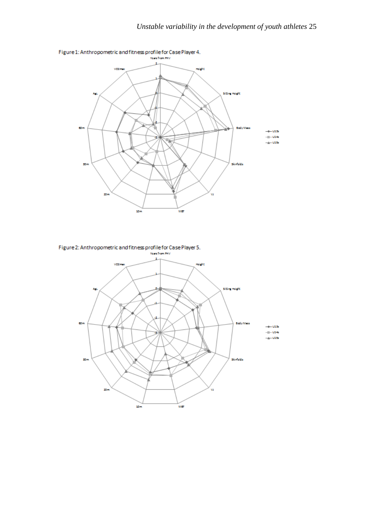



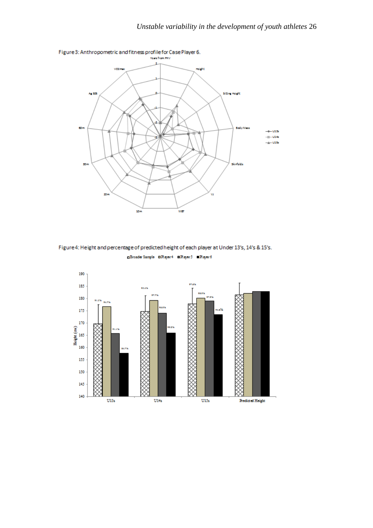

Figure 4: Height and percentage of predicted height of each player at Under 13's, 14's & 15's. gBroader Sample **mPlayer4 mPlayer5 mPlayer6** 

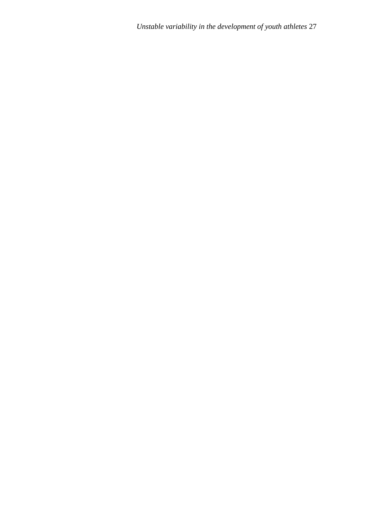*Unstable variability in the development of youth athletes* 27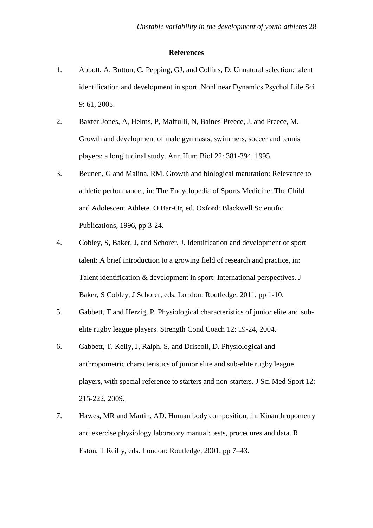## **References**

- <span id="page-28-3"></span>1. Abbott, A, Button, C, Pepping, GJ, and Collins, D. Unnatural selection: talent identification and development in sport. Nonlinear Dynamics Psychol Life Sci 9: 61, 2005.
- <span id="page-28-1"></span>2. Baxter-Jones, A, Helms, P, Maffulli, N, Baines-Preece, J, and Preece, M. Growth and development of male gymnasts, swimmers, soccer and tennis players: a longitudinal study. Ann Hum Biol 22: 381-394, 1995.
- <span id="page-28-2"></span>3. Beunen, G and Malina, RM. Growth and biological maturation: Relevance to athletic performance., in: The Encyclopedia of Sports Medicine: The Child and Adolescent Athlete. O Bar-Or, ed. Oxford: Blackwell Scientific Publications, 1996, pp 3-24.
- <span id="page-28-0"></span>4. Cobley, S, Baker, J, and Schorer, J. Identification and development of sport talent: A brief introduction to a growing field of research and practice, in: Talent identification & development in sport: International perspectives. J Baker, S Cobley, J Schorer, eds. London: Routledge, 2011, pp 1-10.
- <span id="page-28-5"></span>5. Gabbett, T and Herzig, P. Physiological characteristics of junior elite and subelite rugby league players. Strength Cond Coach 12: 19-24, 2004.
- <span id="page-28-6"></span>6. Gabbett, T, Kelly, J, Ralph, S, and Driscoll, D. Physiological and anthropometric characteristics of junior elite and sub-elite rugby league players, with special reference to starters and non-starters. J Sci Med Sport 12: 215-222, 2009.
- <span id="page-28-4"></span>7. Hawes, MR and Martin, AD. Human body composition, in: Kinanthropometry and exercise physiology laboratory manual: tests, procedures and data. R Eston, T Reilly, eds. London: Routledge, 2001, pp 7–43.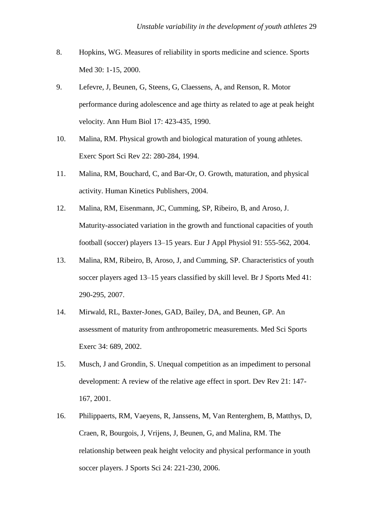- <span id="page-29-8"></span>8. Hopkins, WG. Measures of reliability in sports medicine and science. Sports Med 30: 1-15, 2000.
- <span id="page-29-6"></span>9. Lefevre, J, Beunen, G, Steens, G, Claessens, A, and Renson, R. Motor performance during adolescence and age thirty as related to age at peak height velocity. Ann Hum Biol 17: 423-435, 1990.
- <span id="page-29-0"></span>10. Malina, RM. Physical growth and biological maturation of young athletes. Exerc Sport Sci Rev 22: 280-284, 1994.
- <span id="page-29-1"></span>11. Malina, RM, Bouchard, C, and Bar-Or, O. Growth, maturation, and physical activity. Human Kinetics Publishers, 2004.
- <span id="page-29-4"></span>12. Malina, RM, Eisenmann, JC, Cumming, SP, Ribeiro, B, and Aroso, J. Maturity-associated variation in the growth and functional capacities of youth football (soccer) players 13–15 years. Eur J Appl Physiol 91: 555-562, 2004.
- <span id="page-29-5"></span>13. Malina, RM, Ribeiro, B, Aroso, J, and Cumming, SP. Characteristics of youth soccer players aged 13–15 years classified by skill level. Br J Sports Med 41: 290-295, 2007.
- <span id="page-29-7"></span>14. Mirwald, RL, Baxter-Jones, GAD, Bailey, DA, and Beunen, GP. An assessment of maturity from anthropometric measurements. Med Sci Sports Exerc 34: 689, 2002.
- <span id="page-29-2"></span>15. Musch, J and Grondin, S. Unequal competition as an impediment to personal development: A review of the relative age effect in sport. Dev Rev 21: 147- 167, 2001.
- <span id="page-29-3"></span>16. Philippaerts, RM, Vaeyens, R, Janssens, M, Van Renterghem, B, Matthys, D, Craen, R, Bourgois, J, Vrijens, J, Beunen, G, and Malina, RM. The relationship between peak height velocity and physical performance in youth soccer players. J Sports Sci 24: 221-230, 2006.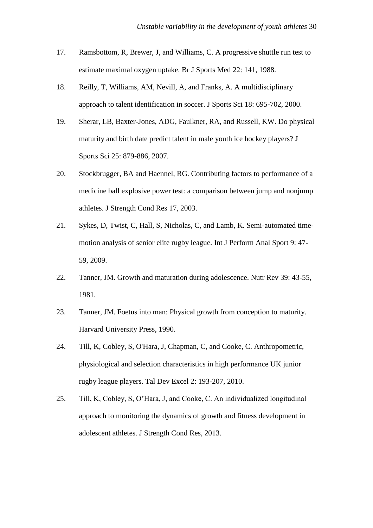- <span id="page-30-8"></span>17. Ramsbottom, R, Brewer, J, and Williams, C. A progressive shuttle run test to estimate maximal oxygen uptake. Br J Sports Med 22: 141, 1988.
- <span id="page-30-0"></span>18. Reilly, T, Williams, AM, Nevill, A, and Franks, A. A multidisciplinary approach to talent identification in soccer. J Sports Sci 18: 695-702, 2000.
- <span id="page-30-3"></span>19. Sherar, LB, Baxter-Jones, ADG, Faulkner, RA, and Russell, KW. Do physical maturity and birth date predict talent in male youth ice hockey players? J Sports Sci 25: 879-886, 2007.
- <span id="page-30-7"></span>20. Stockbrugger, BA and Haennel, RG. Contributing factors to performance of a medicine ball explosive power test: a comparison between jump and nonjump athletes. J Strength Cond Res 17, 2003.
- <span id="page-30-6"></span>21. Sykes, D, Twist, C, Hall, S, Nicholas, C, and Lamb, K. Semi-automated timemotion analysis of senior elite rugby league. Int J Perform Anal Sport 9: 47- 59, 2009.
- <span id="page-30-1"></span>22. Tanner, JM. Growth and maturation during adolescence. Nutr Rev 39: 43-55, 1981.
- <span id="page-30-2"></span>23. Tanner, JM. Foetus into man: Physical growth from conception to maturity. Harvard University Press, 1990.
- <span id="page-30-4"></span>24. Till, K, Cobley, S, O'Hara, J, Chapman, C, and Cooke, C. Anthropometric, physiological and selection characteristics in high performance UK junior rugby league players. Tal Dev Excel 2: 193-207, 2010.
- <span id="page-30-5"></span>25. Till, K, Cobley, S, O'Hara, J, and Cooke, C. An individualized longitudinal approach to monitoring the dynamics of growth and fitness development in adolescent athletes. J Strength Cond Res, 2013.